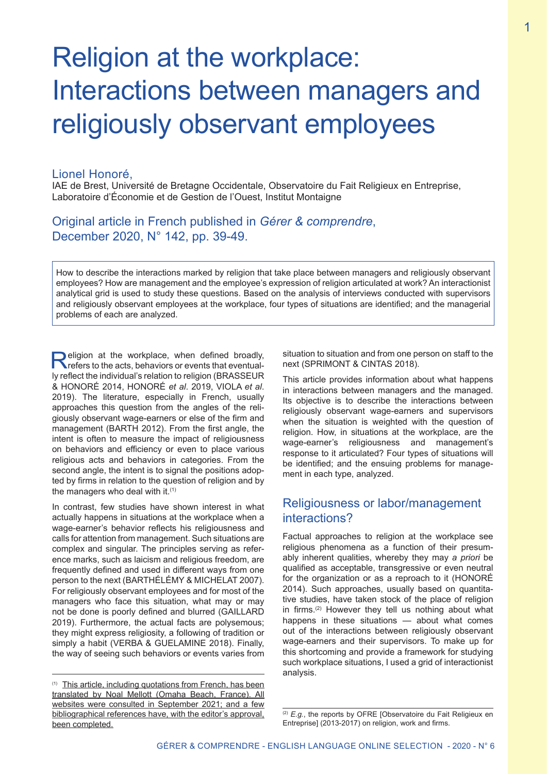# Religion at the workplace: Interactions between managers and religiously observant employees

## Lionel Honoré,

IAE de Brest, Université de Bretagne Occidentale, Observatoire du Fait Religieux en Entreprise, Laboratoire d'Économie et de Gestion de l'Ouest, Institut Montaigne

# Original article in French published in *Gérer & comprendre*, December 2020, N° 142, pp. 39-49.

How to describe the interactions marked by religion that take place between managers and religiously observant employees? How are management and the employee's expression of religion articulated at work? An interactionist analytical grid is used to study these questions. Based on the analysis of interviews conducted with supervisors and religiously observant employees at the workplace, four types of situations are identified; and the managerial problems of each are analyzed.

**Religion at the workplace, when defined broadly,** refers to the acts, behaviors or events that eventually reflect the individual's relation to religion (BRASSEUR & HONORÉ 2014, HONORÉ *et al*. 2019, VIOLA *et al*. 2019). The literature, especially in French, usually approaches this question from the angles of the religiously observant wage-earners or else of the firm and management (BARTH 2012). From the first angle, the intent is often to measure the impact of religiousness on behaviors and efficiency or even to place various religious acts and behaviors in categories. From the second angle, the intent is to signal the positions adopted by firms in relation to the question of religion and by the managers who deal with it.<sup>(1)</sup>

In contrast, few studies have shown interest in what actually happens in situations at the workplace when a wage-earner's behavior reflects his religiousness and calls for attention from management. Such situations are complex and singular. The principles serving as reference marks, such as laicism and religious freedom, are frequently defined and used in different ways from one person to the next (BARTHÉLÉMY & MICHELAT 2007). For religiously observant employees and for most of the managers who face this situation, what may or may not be done is poorly defined and blurred (GAILLARD 2019). Furthermore, the actual facts are polysemous; they might express religiosity, a following of tradition or simply a habit (VERBA & GUELAMINE 2018). Finally, the way of seeing such behaviors or events varies from situation to situation and from one person on staff to the next (SPRIMONT & CINTAS 2018).

This article provides information about what happens in interactions between managers and the managed. Its objective is to describe the interactions between religiously observant wage-earners and supervisors when the situation is weighted with the question of religion. How, in situations at the workplace, are the wage-earner's religiousness and management's response to it articulated? Four types of situations will be identified; and the ensuing problems for management in each type, analyzed.

# Religiousness or labor/management interactions?

Factual approaches to religion at the workplace see religious phenomena as a function of their presumably inherent qualities, whereby they may *a priori* be qualified as acceptable, transgressive or even neutral for the organization or as a reproach to it (HONORÉ 2014). Such approaches, usually based on quantitative studies, have taken stock of the place of religion in firms.(2) However they tell us nothing about what happens in these situations — about what comes out of the interactions between religiously observant wage-earners and their supervisors. To make up for this shortcoming and provide a framework for studying such workplace situations, I used a grid of interactionist analysis.

<sup>(1)</sup> This article, including quotations from French, has been translated by Noal Mellott (Omaha Beach, France). All websites were consulted in September 2021; and a few bibliographical references have, with the editor's approval, been completed.

<sup>(2)</sup> *E.g.*, the reports by OFRE [Observatoire du Fait Religieux en Entreprise] (2013-2017) on religion, work and firms.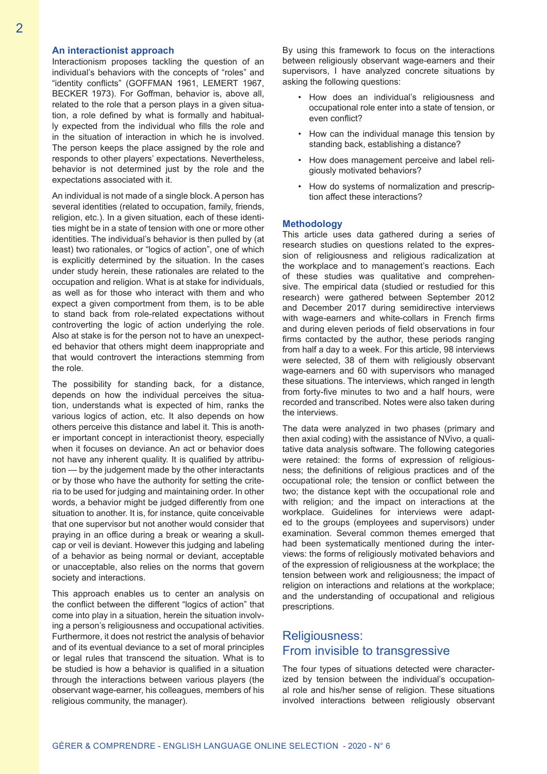#### **An interactionist approach**

Interactionism proposes tackling the question of an individual's behaviors with the concepts of "roles" and "identity conflicts" (GOFFMAN 1961, LEMERT 1967, BECKER 1973). For Goffman, behavior is, above all, related to the role that a person plays in a given situation, a role defined by what is formally and habitually expected from the individual who fills the role and in the situation of interaction in which he is involved. The person keeps the place assigned by the role and responds to other players' expectations. Nevertheless, behavior is not determined just by the role and the expectations associated with it.

An individual is not made of a single block. A person has several identities (related to occupation, family, friends, religion, etc.). In a given situation, each of these identities might be in a state of tension with one or more other identities. The individual's behavior is then pulled by (at least) two rationales, or "logics of action", one of which is explicitly determined by the situation. In the cases under study herein, these rationales are related to the occupation and religion. What is at stake for individuals, as well as for those who interact with them and who expect a given comportment from them, is to be able to stand back from role-related expectations without controverting the logic of action underlying the role. Also at stake is for the person not to have an unexpected behavior that others might deem inappropriate and that would controvert the interactions stemming from the role.

The possibility for standing back, for a distance, depends on how the individual perceives the situation, understands what is expected of him, ranks the various logics of action, etc. It also depends on how others perceive this distance and label it. This is another important concept in interactionist theory, especially when it focuses on deviance. An act or behavior does not have any inherent quality. It is qualified by attribution — by the judgement made by the other interactants or by those who have the authority for setting the criteria to be used for judging and maintaining order. In other words, a behavior might be judged differently from one situation to another. It is, for instance, quite conceivable that one supervisor but not another would consider that praying in an office during a break or wearing a skullcap or veil is deviant. However this judging and labeling of a behavior as being normal or deviant, acceptable or unacceptable, also relies on the norms that govern society and interactions.

This approach enables us to center an analysis on the conflict between the different "logics of action" that come into play in a situation, herein the situation involving a person's religiousness and occupational activities. Furthermore, it does not restrict the analysis of behavior and of its eventual deviance to a set of moral principles or legal rules that transcend the situation. What is to be studied is how a behavior is qualified in a situation through the interactions between various players (the observant wage-earner, his colleagues, members of his religious community, the manager).

By using this framework to focus on the interactions between religiously observant wage-earners and their supervisors, I have analyzed concrete situations by asking the following questions:

- How does an individual's religiousness and occupational role enter into a state of tension, or even conflict?
- How can the individual manage this tension by standing back, establishing a distance?
- How does management perceive and label religiously motivated behaviors?
- How do systems of normalization and prescription affect these interactions?

#### **Methodology**

This article uses data gathered during a series of research studies on questions related to the expression of religiousness and religious radicalization at the workplace and to management's reactions. Each of these studies was qualitative and comprehensive. The empirical data (studied or restudied for this research) were gathered between September 2012 and December 2017 during semidirective interviews with wage-earners and white-collars in French firms and during eleven periods of field observations in four firms contacted by the author, these periods ranging from half a day to a week. For this article, 98 interviews were selected, 38 of them with religiously observant wage-earners and 60 with supervisors who managed these situations. The interviews, which ranged in length from forty-five minutes to two and a half hours, were recorded and transcribed. Notes were also taken during the interviews.

The data were analyzed in two phases (primary and then axial coding) with the assistance of NVivo, a qualitative data analysis software. The following categories were retained: the forms of expression of religiousness; the definitions of religious practices and of the occupational role; the tension or conflict between the two; the distance kept with the occupational role and with religion; and the impact on interactions at the workplace. Guidelines for interviews were adapted to the groups (employees and supervisors) under examination. Several common themes emerged that had been systematically mentioned during the interviews: the forms of religiously motivated behaviors and of the expression of religiousness at the workplace; the tension between work and religiousness; the impact of religion on interactions and relations at the workplace; and the understanding of occupational and religious prescriptions.

# Religiousness: From invisible to transgressive

The four types of situations detected were characterized by tension between the individual's occupational role and his/her sense of religion. These situations involved interactions between religiously observant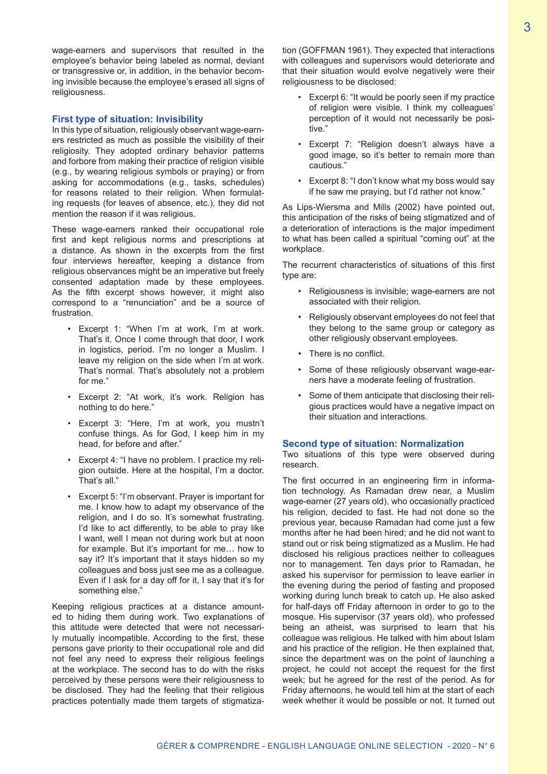wage-earners and supervisors that resulted in the employee's behavior being labeled as normal, deviant or transgressive or, in addition, in the behavior becoming invisible because the employee's erased all signs of religiousness.

#### **First type of situation: Invisibility**

In this type of situation, religiously observant wage-earners restricted as much as possible the visibility of their religiosity. They adopted ordinary behavior patterns and forbore from making their practice of religion visible (e.g., by wearing religious symbols or praying) or from asking for accommodations (e.g., tasks, schedules) for reasons related to their religion. When formulating requests (for leaves of absence, etc.), they did not mention the reason if it was religious.

These wage-earners ranked their occupational role first and kept religious norms and prescriptions at a distance. As shown in the excerpts from the first four interviews hereafter, keeping a distance from religious observances might be an imperative but freely consented adaptation made by these employees. As the fifth excerpt shows however, it might also correspond to a "renunciation" and be a source of frustration.

- Excerpt 1: "When I'm at work, I'm at work. That's it. Once I come through that door, I work in logistics, period. I'm no longer a Muslim. I leave my religion on the side when I'm at work. That's normal. That's absolutely not a problem for me."
- Excerpt 2: "At work, it's work. Religion has nothing to do here."
- Excerpt 3: "Here, I'm at work, you mustn't confuse things. As for God, I keep him in my head, for before and after."
- Excerpt 4: "I have no problem. I practice my religion outside. Here at the hospital, I'm a doctor. That's all."
- Excerpt 5: "I'm observant. Prayer is important for me. I know how to adapt my observance of the religion, and I do so. It's somewhat frustrating. I'd like to act differently, to be able to pray like I want, well I mean not during work but at noon for example. But it's important for me… how to say it? It's important that it stays hidden so my colleagues and boss just see me as a colleague. Even if I ask for a day off for it, I say that it's for something else."

Keeping religious practices at a distance amounted to hiding them during work. Two explanations of this attitude were detected that were not necessarily mutually incompatible. According to the first, these persons gave priority to their occupational role and did not feel any need to express their religious feelings at the workplace. The second has to do with the risks perceived by these persons were their religiousness to be disclosed. They had the feeling that their religious practices potentially made them targets of stigmatization (GOFFMAN 1961). They expected that interactions with colleagues and supervisors would deteriorate and that their situation would evolve negatively were their religiousness to be disclosed:

- Excerpt 6: "It would be poorly seen if my practice of religion were visible. I think my colleagues' perception of it would not necessarily be positive."
- Excerpt 7: "Religion doesn't always have a good image, so it's better to remain more than cautious."
- Excerpt 8: "I don't know what my boss would say if he saw me praying, but I'd rather not know."

As Lips-Wiersma and Mills (2002) have pointed out, this anticipation of the risks of being stigmatized and of a deterioration of interactions is the major impediment to what has been called a spiritual "coming out" at the workplace.

The recurrent characteristics of situations of this first type are:

- Religiousness is invisible; wage-earners are not associated with their religion.
- Religiously observant employees do not feel that they belong to the same group or category as other religiously observant employees.
- There is no conflict.
- Some of these religiously observant wage-earners have a moderate feeling of frustration.
- Some of them anticipate that disclosing their religious practices would have a negative impact on their situation and interactions.

#### **Second type of situation: Normalization**

Two situations of this type were observed during research.

The first occurred in an engineering firm in information technology. As Ramadan drew near, a Muslim wage-earner (27 years old), who occasionally practiced his religion, decided to fast. He had not done so the previous year, because Ramadan had come just a few months after he had been hired; and he did not want to stand out or risk being stigmatized as a Muslim. He had disclosed his religious practices neither to colleagues nor to management. Ten days prior to Ramadan, he asked his supervisor for permission to leave earlier in the evening during the period of fasting and proposed working during lunch break to catch up. He also asked for half-days off Friday afternoon in order to go to the mosque. His supervisor (37 years old), who professed being an atheist, was surprised to learn that his colleague was religious. He talked with him about Islam and his practice of the religion. He then explained that, since the department was on the point of launching a project, he could not accept the request for the first week; but he agreed for the rest of the period. As for Friday afternoons, he would tell him at the start of each week whether it would be possible or not. It turned out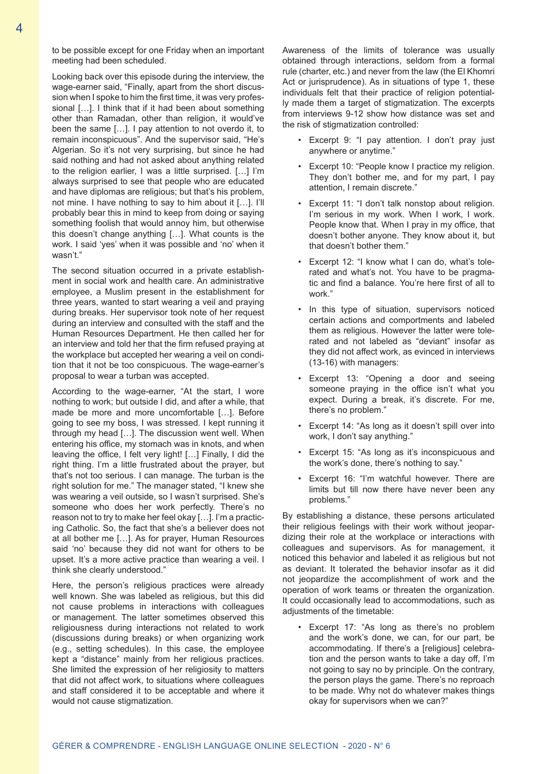to be possible except for one Friday when an important meeting had been scheduled.

Looking back over this episode during the interview, the wage-earner said, "Finally, apart from the short discussion when I spoke to him the first time, it was very professional […]. I think that if it had been about something other than Ramadan, other than religion, it would've been the same […]. I pay attention to not overdo it, to remain inconspicuous". And the supervisor said, "He's Algerian. So it's not very surprising, but since he had said nothing and had not asked about anything related to the religion earlier, I was a little surprised. […] I'm always surprised to see that people who are educated and have diplomas are religious; but that's his problem, not mine. I have nothing to say to him about it […]. I'll probably bear this in mind to keep from doing or saying something foolish that would annoy him, but otherwise this doesn't change anything […]. What counts is the work. I said 'yes' when it was possible and 'no' when it wasn't."

The second situation occurred in a private establishment in social work and health care. An administrative employee, a Muslim present in the establishment for three years, wanted to start wearing a veil and praying during breaks. Her supervisor took note of her request during an interview and consulted with the staff and the Human Resources Department. He then called her for an interview and told her that the firm refused praying at the workplace but accepted her wearing a veil on condition that it not be too conspicuous. The wage-earner's proposal to wear a turban was accepted.

According to the wage-earner, "At the start, I wore nothing to work; but outside I did, and after a while, that made be more and more uncomfortable […]. Before going to see my boss, I was stressed. I kept running it through my head […]. The discussion went well. When entering his office, my stomach was in knots, and when leaving the office, I felt very light! […] Finally, I did the right thing. I'm a little frustrated about the prayer, but that's not too serious. I can manage. The turban is the right solution for me." The manager stated, "I knew she was wearing a veil outside, so I wasn't surprised. She's someone who does her work perfectly. There's no reason not to try to make her feel okay […]. I'm a practicing Catholic. So, the fact that she's a believer does not at all bother me […]. As for prayer, Human Resources said 'no' because they did not want for others to be upset. It's a more active practice than wearing a veil. I think she clearly understood."

Here, the person's religious practices were already well known. She was labeled as religious, but this did not cause problems in interactions with colleagues or management. The latter sometimes observed this religiousness during interactions not related to work (discussions during breaks) or when organizing work (e.g., setting schedules). In this case, the employee kept a "distance" mainly from her religious practices. She limited the expression of her religiosity to matters that did not affect work, to situations where colleagues and staff considered it to be acceptable and where it would not cause stigmatization.

Awareness of the limits of tolerance was usually obtained through interactions, seldom from a formal rule (charter, etc.) and never from the law (the El Khomri Act or jurisprudence). As in situations of type 1, these individuals felt that their practice of religion potentially made them a target of stigmatization. The excerpts from interviews 9-12 show how distance was set and the risk of stigmatization controlled:

- Excerpt 9: "I pay attention. I don't pray just anywhere or anytime."
- Excerpt 10: "People know I practice my religion. They don't bother me, and for my part, I pay attention, I remain discrete."
- Excerpt 11: "I don't talk nonstop about religion. I'm serious in my work. When I work, I work. People know that. When I pray in my office, that doesn't bother anyone. They know about it, but that doesn't bother them."
- Excerpt 12: "I know what I can do, what's tolerated and what's not. You have to be pragmatic and find a balance. You're here first of all to work."
- In this type of situation, supervisors noticed certain actions and comportments and labeled them as religious. However the latter were tolerated and not labeled as "deviant" insofar as they did not affect work, as evinced in interviews (13-16) with managers:
- Excerpt 13: "Opening a door and seeing someone praying in the office isn't what you expect. During a break, it's discrete. For me, there's no problem."
- Excerpt 14: "As long as it doesn't spill over into work, I don't say anything."
- Excerpt 15: "As long as it's inconspicuous and the work's done, there's nothing to say."
- Excerpt 16: "I'm watchful however. There are limits but till now there have never been any problems."

By establishing a distance, these persons articulated their religious feelings with their work without jeopardizing their role at the workplace or interactions with colleagues and supervisors. As for management, it noticed this behavior and labeled it as religious but not as deviant. It tolerated the behavior insofar as it did not jeopardize the accomplishment of work and the operation of work teams or threaten the organization. It could occasionally lead to accommodations, such as adjustments of the timetable:

Excerpt 17: "As long as there's no problem and the work's done, we can, for our part, be accommodating. If there's a [religious] celebration and the person wants to take a day off, I'm not going to say no by principle. On the contrary, the person plays the game. There's no reproach to be made. Why not do whatever makes things okay for supervisors when we can?"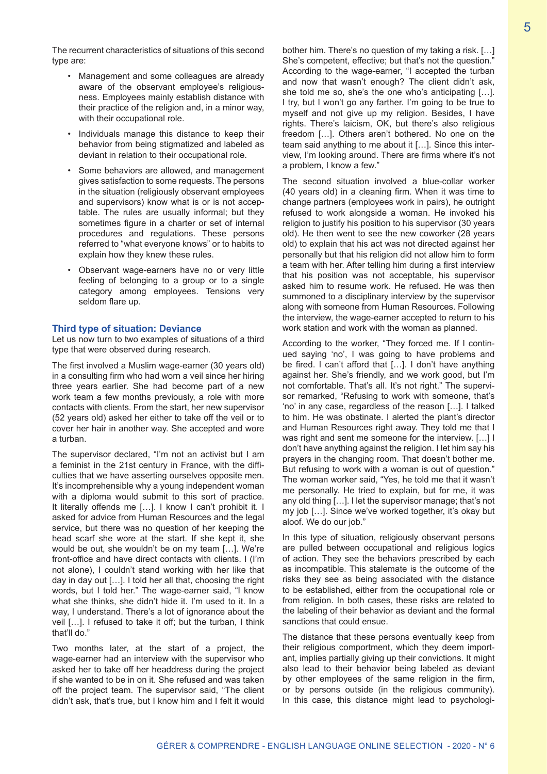The recurrent characteristics of situations of this second type are:

- Management and some colleagues are already aware of the observant employee's religiousness. Employees mainly establish distance with their practice of the religion and, in a minor way, with their occupational role.
- Individuals manage this distance to keep their behavior from being stigmatized and labeled as deviant in relation to their occupational role.
- Some behaviors are allowed, and management gives satisfaction to some requests. The persons in the situation (religiously observant employees and supervisors) know what is or is not acceptable. The rules are usually informal; but they sometimes figure in a charter or set of internal procedures and regulations. These persons referred to "what everyone knows" or to habits to explain how they knew these rules.
- Observant wage-earners have no or very little feeling of belonging to a group or to a single category among employees. Tensions very seldom flare up.

## **Third type of situation: Deviance**

Let us now turn to two examples of situations of a third type that were observed during research.

The first involved a Muslim wage-earner (30 years old) in a consulting firm who had worn a veil since her hiring three years earlier. She had become part of a new work team a few months previously, a role with more contacts with clients. From the start, her new supervisor (52 years old) asked her either to take off the veil or to cover her hair in another way. She accepted and wore a turban.

The supervisor declared, "I'm not an activist but I am a feminist in the 21st century in France, with the difficulties that we have asserting ourselves opposite men. It's incomprehensible why a young independent woman with a diploma would submit to this sort of practice. It literally offends me […]. I know I can't prohibit it. I asked for advice from Human Resources and the legal service, but there was no question of her keeping the head scarf she wore at the start. If she kept it, she would be out, she wouldn't be on my team […]. We're front-office and have direct contacts with clients. I (I'm not alone), I couldn't stand working with her like that day in day out […]. I told her all that, choosing the right words, but I told her." The wage-earner said, "I know what she thinks, she didn't hide it. I'm used to it. In a way, I understand. There's a lot of ignorance about the veil […]. I refused to take it off; but the turban, I think that'll do."

Two months later, at the start of a project, the wage-earner had an interview with the supervisor who asked her to take off her headdress during the project if she wanted to be in on it. She refused and was taken off the project team. The supervisor said, "The client didn't ask, that's true, but I know him and I felt it would

bother him. There's no question of my taking a risk. […] She's competent, effective; but that's not the question." According to the wage-earner, "I accepted the turban and now that wasn't enough? The client didn't ask, she told me so, she's the one who's anticipating […]. I try, but I won't go any farther. I'm going to be true to myself and not give up my religion. Besides, I have rights. There's laicism, OK, but there's also religious freedom […]. Others aren't bothered. No one on the team said anything to me about it […]. Since this interview, I'm looking around. There are firms where it's not a problem, I know a few."

The second situation involved a blue-collar worker (40 years old) in a cleaning firm. When it was time to change partners (employees work in pairs), he outright refused to work alongside a woman. He invoked his religion to justify his position to his supervisor (30 years old). He then went to see the new coworker (28 years old) to explain that his act was not directed against her personally but that his religion did not allow him to form a team with her. After telling him during a first interview that his position was not acceptable, his supervisor asked him to resume work. He refused. He was then summoned to a disciplinary interview by the supervisor along with someone from Human Resources. Following the interview, the wage-earner accepted to return to his work station and work with the woman as planned.

According to the worker, "They forced me. If I continued saying 'no', I was going to have problems and be fired. I can't afford that […]. I don't have anything against her. She's friendly, and we work good, but I'm not comfortable. That's all. It's not right." The supervisor remarked, "Refusing to work with someone, that's 'no' in any case, regardless of the reason […]. I talked to him. He was obstinate. I alerted the plant's director and Human Resources right away. They told me that I was right and sent me someone for the interview. […] I don't have anything against the religion. I let him say his prayers in the changing room. That doesn't bother me. But refusing to work with a woman is out of question." The woman worker said, "Yes, he told me that it wasn't me personally. He tried to explain, but for me, it was any old thing […]. I let the supervisor manage; that's not my job […]. Since we've worked together, it's okay but aloof. We do our job."

In this type of situation, religiously observant persons are pulled between occupational and religious logics of action. They see the behaviors prescribed by each as incompatible. This stalemate is the outcome of the risks they see as being associated with the distance to be established, either from the occupational role or from religion. In both cases, these risks are related to the labeling of their behavior as deviant and the formal sanctions that could ensue.

The distance that these persons eventually keep from their religious comportment, which they deem important, implies partially giving up their convictions. It might also lead to their behavior being labeled as deviant by other employees of the same religion in the firm, or by persons outside (in the religious community). In this case, this distance might lead to psychologi-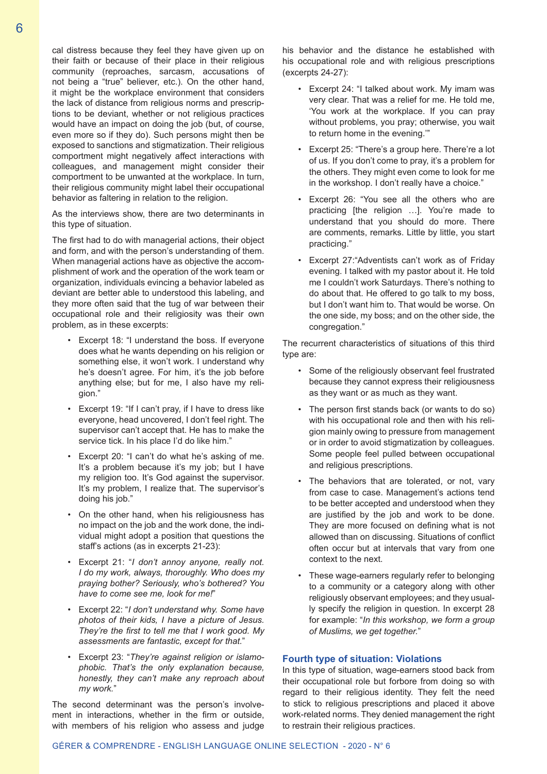cal distress because they feel they have given up on their faith or because of their place in their religious community (reproaches, sarcasm, accusations of not being a "true" believer, etc.). On the other hand, it might be the workplace environment that considers the lack of distance from religious norms and prescriptions to be deviant, whether or not religious practices would have an impact on doing the job (but, of course, even more so if they do). Such persons might then be exposed to sanctions and stigmatization. Their religious comportment might negatively affect interactions with colleagues, and management might consider their comportment to be unwanted at the workplace. In turn, their religious community might label their occupational behavior as faltering in relation to the religion.

As the interviews show, there are two determinants in this type of situation.

The first had to do with managerial actions, their object and form, and with the person's understanding of them. When managerial actions have as objective the accomplishment of work and the operation of the work team or organization, individuals evincing a behavior labeled as deviant are better able to understood this labeling, and they more often said that the tug of war between their occupational role and their religiosity was their own problem, as in these excerpts:

- Excerpt 18: "I understand the boss. If everyone does what he wants depending on his religion or something else, it won't work. I understand why he's doesn't agree. For him, it's the job before anything else; but for me, I also have my religion."
- Excerpt 19: "If I can't pray, if I have to dress like everyone, head uncovered, I don't feel right. The supervisor can't accept that. He has to make the service tick. In his place I'd do like him."
- Excerpt 20: "I can't do what he's asking of me. It's a problem because it's my job; but I have my religion too. It's God against the supervisor. It's my problem, I realize that. The supervisor's doing his job."
- On the other hand, when his religiousness has no impact on the job and the work done, the individual might adopt a position that questions the staff's actions (as in excerpts 21-23):
- Excerpt 21: "*I don't annoy anyone, really not. I do my work, always, thoroughly. Who does my praying bother? Seriously, who's bothered? You have to come see me, look for me!*"
- Excerpt 22: "*I don't understand why. Some have photos of their kids, I have a picture of Jesus. They're the first to tell me that I work good. My assessments are fantastic, except for that.*"
- Excerpt 23: "*They're against religion or islamophobic. That's the only explanation because, honestly, they can't make any reproach about my work.*"

The second determinant was the person's involvement in interactions, whether in the firm or outside, with members of his religion who assess and judge

his behavior and the distance he established with his occupational role and with religious prescriptions (excerpts 24-27):

- Excerpt 24: "I talked about work. My imam was very clear. That was a relief for me. He told me, 'You work at the workplace. If you can pray without problems, you pray; otherwise, you wait to return home in the evening.'"
- Excerpt 25: "There's a group here. There're a lot of us. If you don't come to pray, it's a problem for the others. They might even come to look for me in the workshop. I don't really have a choice."
- Excerpt 26: "You see all the others who are practicing [the religion …]. You're made to understand that you should do more. There are comments, remarks. Little by little, you start practicing."
- Excerpt 27: "Adventists can't work as of Friday evening. I talked with my pastor about it. He told me I couldn't work Saturdays. There's nothing to do about that. He offered to go talk to my boss, but I don't want him to. That would be worse. On the one side, my boss; and on the other side, the congregation."

The recurrent characteristics of situations of this third type are:

- Some of the religiously observant feel frustrated because they cannot express their religiousness as they want or as much as they want.
- The person first stands back (or wants to do so) with his occupational role and then with his religion mainly owing to pressure from management or in order to avoid stigmatization by colleagues. Some people feel pulled between occupational and religious prescriptions.
- The behaviors that are tolerated, or not, vary from case to case. Management's actions tend to be better accepted and understood when they are justified by the job and work to be done. They are more focused on defining what is not allowed than on discussing. Situations of conflict often occur but at intervals that vary from one context to the next.
- These wage-earners regularly refer to belonging to a community or a category along with other religiously observant employees; and they usually specify the religion in question. In excerpt 28 for example: "*In this workshop, we form a group of Muslims, we get together.*"

### **Fourth type of situation: Violations**

In this type of situation, wage-earners stood back from their occupational role but forbore from doing so with regard to their religious identity. They felt the need to stick to religious prescriptions and placed it above work-related norms. They denied management the right to restrain their religious practices.

## GÉRER & COMPRENDRE - ENGLISH LANGUAGE ONLINE SELECTION - 2020 - N° 6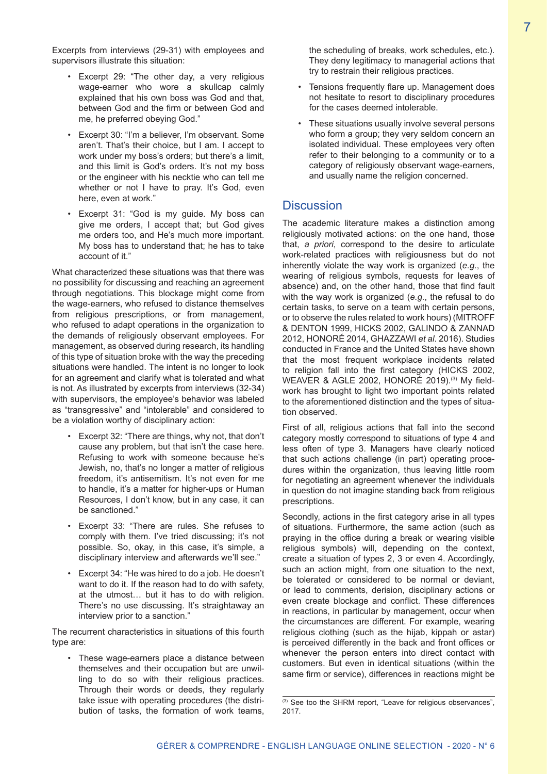Excerpts from interviews (29-31) with employees and supervisors illustrate this situation:

- Excerpt 29: "The other day, a very religious wage-earner who wore a skullcap calmly explained that his own boss was God and that, between God and the firm or between God and me, he preferred obeying God."
- Excerpt 30: "I'm a believer, I'm observant. Some aren't. That's their choice, but I am. I accept to work under my boss's orders; but there's a limit, and this limit is God's orders. It's not my boss or the engineer with his necktie who can tell me whether or not I have to pray. It's God, even here, even at work."
- Excerpt 31: "God is my guide. My boss can give me orders, I accept that; but God gives me orders too, and He's much more important. My boss has to understand that; he has to take account of it."

What characterized these situations was that there was no possibility for discussing and reaching an agreement through negotiations. This blockage might come from the wage-earners, who refused to distance themselves from religious prescriptions, or from management, who refused to adapt operations in the organization to the demands of religiously observant employees. For management, as observed during research, its handling of this type of situation broke with the way the preceding situations were handled. The intent is no longer to look for an agreement and clarify what is tolerated and what is not. As illustrated by excerpts from interviews (32-34) with supervisors, the employee's behavior was labeled as "transgressive" and "intolerable" and considered to be a violation worthy of disciplinary action:

- Excerpt 32: "There are things, why not, that don't cause any problem, but that isn't the case here. Refusing to work with someone because he's Jewish, no, that's no longer a matter of religious freedom, it's antisemitism. It's not even for me to handle, it's a matter for higher-ups or Human Resources, I don't know, but in any case, it can be sanctioned."
- Excerpt 33: "There are rules. She refuses to comply with them. I've tried discussing; it's not possible. So, okay, in this case, it's simple, a disciplinary interview and afterwards we'll see."
- Excerpt 34: "He was hired to do a job. He doesn't want to do it. If the reason had to do with safety, at the utmost… but it has to do with religion. There's no use discussing. It's straightaway an interview prior to a sanction."

The recurrent characteristics in situations of this fourth type are:

• These wage-earners place a distance between themselves and their occupation but are unwilling to do so with their religious practices. Through their words or deeds, they regularly take issue with operating procedures (the distribution of tasks, the formation of work teams,

the scheduling of breaks, work schedules, etc.). They deny legitimacy to managerial actions that try to restrain their religious practices.

- Tensions frequently flare up. Management does not hesitate to resort to disciplinary procedures for the cases deemed intolerable.
- These situations usually involve several persons who form a group; they very seldom concern an isolated individual. These employees very often refer to their belonging to a community or to a category of religiously observant wage-earners, and usually name the religion concerned.

## **Discussion**

The academic literature makes a distinction among religiously motivated actions: on the one hand, those that, *a priori*, correspond to the desire to articulate work-related practices with religiousness but do not inherently violate the way work is organized (*e.g.*, the wearing of religious symbols, requests for leaves of absence) and, on the other hand, those that find fault with the way work is organized (*e.g.*, the refusal to do certain tasks, to serve on a team with certain persons, or to observe the rules related to work hours) (MITROFF & DENTON 1999, HICKS 2002, GALINDO & ZANNAD 2012, HONORÉ 2014, GHAZZAWI *et al*. 2016). Studies conducted in France and the United States have shown that the most frequent workplace incidents related to religion fall into the first category (HICKS 2002, WEAVER & AGLE 2002, HONORÉ 2019).<sup>(3)</sup> My fieldwork has brought to light two important points related to the aforementioned distinction and the types of situation observed.

First of all, religious actions that fall into the second category mostly correspond to situations of type 4 and less often of type 3. Managers have clearly noticed that such actions challenge (in part) operating procedures within the organization, thus leaving little room for negotiating an agreement whenever the individuals in question do not imagine standing back from religious prescriptions.

Secondly, actions in the first category arise in all types of situations. Furthermore, the same action (such as praying in the office during a break or wearing visible religious symbols) will, depending on the context, create a situation of types 2, 3 or even 4. Accordingly, such an action might, from one situation to the next. be tolerated or considered to be normal or deviant, or lead to comments, derision, disciplinary actions or even create blockage and conflict. These differences in reactions, in particular by management, occur when the circumstances are different. For example, wearing religious clothing (such as the hijab, kippah or astar) is perceived differently in the back and front offices or whenever the person enters into direct contact with customers. But even in identical situations (within the same firm or service), differences in reactions might be

<sup>(3)</sup> See too the SHRM report, "Leave for religious observances", 2017.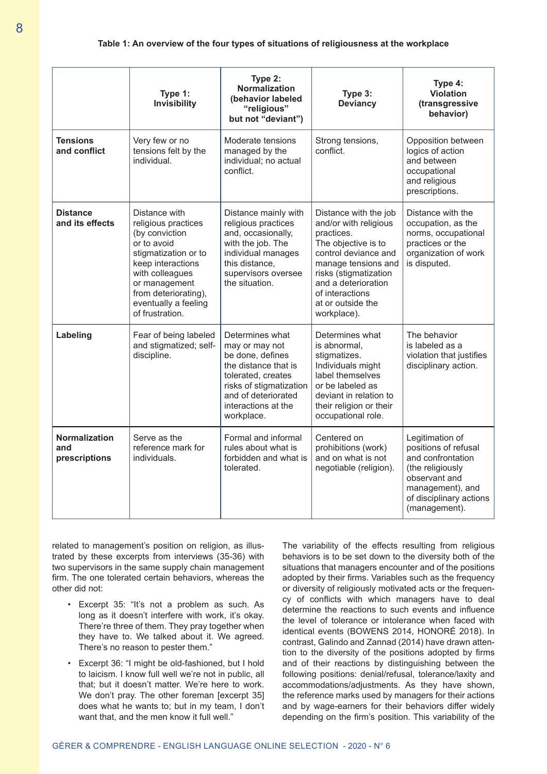**Table 1: An overview of the four types of situations of religiousness at the workplace**

|                                              | Type 1:<br><b>Invisibility</b>                                                                                                                                                                                            | Type 2:<br><b>Normalization</b><br>(behavior labeled<br>"religious"<br>but not "deviant")                                                                                                  | Type 3:<br><b>Deviancy</b>                                                                                                                                                                                                                | Type 4:<br><b>Violation</b><br>(transgressive<br>behavior)                                                                                                        |
|----------------------------------------------|---------------------------------------------------------------------------------------------------------------------------------------------------------------------------------------------------------------------------|--------------------------------------------------------------------------------------------------------------------------------------------------------------------------------------------|-------------------------------------------------------------------------------------------------------------------------------------------------------------------------------------------------------------------------------------------|-------------------------------------------------------------------------------------------------------------------------------------------------------------------|
| <b>Tensions</b><br>and conflict              | Very few or no<br>tensions felt by the<br>individual.                                                                                                                                                                     | Moderate tensions<br>managed by the<br>individual: no actual<br>conflict.                                                                                                                  | Strong tensions,<br>conflict.                                                                                                                                                                                                             | Opposition between<br>logics of action<br>and between<br>occupational<br>and religious<br>prescriptions.                                                          |
| <b>Distance</b><br>and its effects           | Distance with<br>religious practices<br>(by conviction<br>or to avoid<br>stigmatization or to<br>keep interactions<br>with colleagues<br>or management<br>from deteriorating),<br>eventually a feeling<br>of frustration. | Distance mainly with<br>religious practices<br>and, occasionally,<br>with the job. The<br>individual manages<br>this distance,<br>supervisors oversee<br>the situation.                    | Distance with the job<br>and/or with religious<br>practices.<br>The objective is to<br>control deviance and<br>manage tensions and<br>risks (stigmatization<br>and a deterioration<br>of interactions<br>at or outside the<br>workplace). | Distance with the<br>occupation, as the<br>norms, occupational<br>practices or the<br>organization of work<br>is disputed.                                        |
| Labeling                                     | Fear of being labeled<br>and stigmatized; self-<br>discipline.                                                                                                                                                            | Determines what<br>may or may not<br>be done, defines<br>the distance that is<br>tolerated, creates<br>risks of stigmatization<br>and of deteriorated<br>interactions at the<br>workplace. | Determines what<br>is abnormal.<br>stigmatizes.<br>Individuals might<br>label themselves<br>or be labeled as<br>deviant in relation to<br>their religion or their<br>occupational role.                                                   | The behavior<br>is labeled as a<br>violation that justifies<br>disciplinary action.                                                                               |
| <b>Normalization</b><br>and<br>prescriptions | Serve as the<br>reference mark for<br>individuals.                                                                                                                                                                        | Formal and informal<br>rules about what is<br>forbidden and what is<br>tolerated.                                                                                                          | Centered on<br>prohibitions (work)<br>and on what is not<br>negotiable (religion).                                                                                                                                                        | Legitimation of<br>positions of refusal<br>and confrontation<br>(the religiously<br>observant and<br>management), and<br>of disciplinary actions<br>(management). |

related to management's position on religion, as illustrated by these excerpts from interviews (35-36) with two supervisors in the same supply chain management firm. The one tolerated certain behaviors, whereas the other did not:

- Excerpt 35: "It's not a problem as such. As long as it doesn't interfere with work, it's okay. There're three of them. They pray together when they have to. We talked about it. We agreed. There's no reason to pester them."
- Excerpt 36: "I might be old-fashioned, but I hold to laicism. I know full well we're not in public, all that; but it doesn't matter. We're here to work. We don't pray. The other foreman [excerpt 35] does what he wants to; but in my team, I don't want that, and the men know it full well."

The variability of the effects resulting from religious behaviors is to be set down to the diversity both of the situations that managers encounter and of the positions adopted by their firms. Variables such as the frequency or diversity of religiously motivated acts or the frequency of conflicts with which managers have to deal determine the reactions to such events and influence the level of tolerance or intolerance when faced with identical events (BOWENS 2014, HONORÉ 2018). In contrast, Galindo and Zannad (2014) have drawn attention to the diversity of the positions adopted by firms and of their reactions by distinguishing between the following positions: denial/refusal, tolerance/laxity and accommodations/adjustments. As they have shown, the reference marks used by managers for their actions and by wage-earners for their behaviors differ widely depending on the firm's position. This variability of the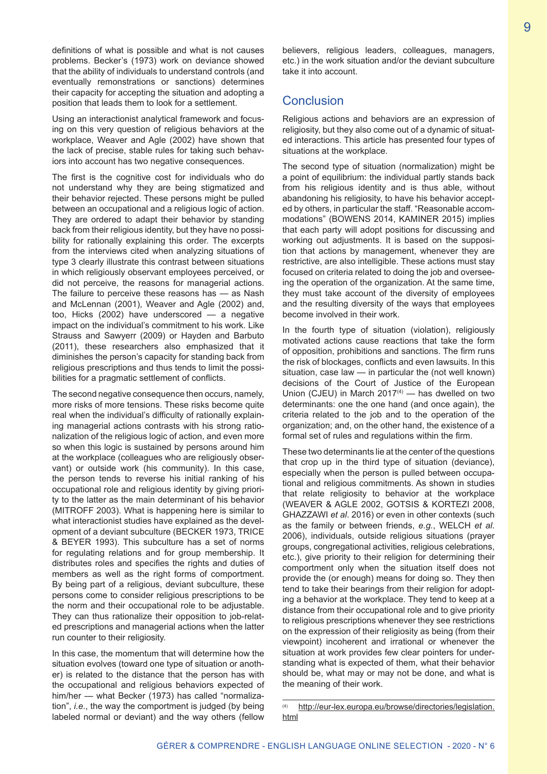definitions of what is possible and what is not causes problems. Becker's (1973) work on deviance showed that the ability of individuals to understand controls (and eventually remonstrations or sanctions) determines their capacity for accepting the situation and adopting a position that leads them to look for a settlement.

Using an interactionist analytical framework and focusing on this very question of religious behaviors at the workplace, Weaver and Agle (2002) have shown that the lack of precise, stable rules for taking such behaviors into account has two negative consequences.

The first is the cognitive cost for individuals who do not understand why they are being stigmatized and their behavior rejected. These persons might be pulled between an occupational and a religious logic of action. They are ordered to adapt their behavior by standing back from their religious identity, but they have no possibility for rationally explaining this order. The excerpts from the interviews cited when analyzing situations of type 3 clearly illustrate this contrast between situations in which religiously observant employees perceived, or did not perceive, the reasons for managerial actions. The failure to perceive these reasons has — as Nash and McLennan (2001), Weaver and Agle (2002) and, too, Hicks (2002) have underscored — a negative impact on the individual's commitment to his work. Like Strauss and Sawyerr (2009) or Hayden and Barbuto (2011), these researchers also emphasized that it diminishes the person's capacity for standing back from religious prescriptions and thus tends to limit the possibilities for a pragmatic settlement of conflicts.

The second negative consequence then occurs, namely, more risks of more tensions. These risks become quite real when the individual's difficulty of rationally explaining managerial actions contrasts with his strong rationalization of the religious logic of action, and even more so when this logic is sustained by persons around him at the workplace (colleagues who are religiously observant) or outside work (his community). In this case, the person tends to reverse his initial ranking of his occupational role and religious identity by giving priority to the latter as the main determinant of his behavior (MITROFF 2003). What is happening here is similar to what interactionist studies have explained as the development of a deviant subculture (BECKER 1973, TRICE & BEYER 1993). This subculture has a set of norms for regulating relations and for group membership. It distributes roles and specifies the rights and duties of members as well as the right forms of comportment. By being part of a religious, deviant subculture, these persons come to consider religious prescriptions to be the norm and their occupational role to be adjustable. They can thus rationalize their opposition to job-related prescriptions and managerial actions when the latter run counter to their religiosity.

In this case, the momentum that will determine how the situation evolves (toward one type of situation or another) is related to the distance that the person has with the occupational and religious behaviors expected of him/her — what Becker (1973) has called "normalization", *i.e.*, the way the comportment is judged (by being labeled normal or deviant) and the way others (fellow

believers, religious leaders, colleagues, managers, etc.) in the work situation and/or the deviant subculture take it into account.

# Conclusion

Religious actions and behaviors are an expression of religiosity, but they also come out of a dynamic of situated interactions. This article has presented four types of situations at the workplace.

The second type of situation (normalization) might be a point of equilibrium: the individual partly stands back from his religious identity and is thus able, without abandoning his religiosity, to have his behavior accepted by others, in particular the staff. "Reasonable accommodations" (BOWENS 2014, KAMINER 2015) implies that each party will adopt positions for discussing and working out adjustments. It is based on the supposition that actions by management, whenever they are restrictive, are also intelligible. These actions must stay focused on criteria related to doing the job and overseeing the operation of the organization. At the same time, they must take account of the diversity of employees and the resulting diversity of the ways that employees become involved in their work.

In the fourth type of situation (violation), religiously motivated actions cause reactions that take the form of opposition, prohibitions and sanctions. The firm runs the risk of blockages, conflicts and even lawsuits. In this situation, case law — in particular the (not well known) decisions of the Court of Justice of the European Union (CJEU) in March  $2017<sup>(4)</sup>$  — has dwelled on two determinants: one the one hand (and once again), the criteria related to the job and to the operation of the organization; and, on the other hand, the existence of a formal set of rules and regulations within the firm.

These two determinants lie at the center of the questions that crop up in the third type of situation (deviance), especially when the person is pulled between occupational and religious commitments. As shown in studies that relate religiosity to behavior at the workplace (WEAVER & AGLE 2002, GOTSIS & KORTEZI 2008, GHAZZAWI *et al*. 2016) or even in other contexts (such as the family or between friends, *e.g.*, WELCH *et al*. 2006), individuals, outside religious situations (prayer groups, congregational activities, religious celebrations, etc.), give priority to their religion for determining their comportment only when the situation itself does not provide the (or enough) means for doing so. They then tend to take their bearings from their religion for adopting a behavior at the workplace. They tend to keep at a distance from their occupational role and to give priority to religious prescriptions whenever they see restrictions on the expression of their religiosity as being (from their viewpoint) incoherent and irrational or whenever the situation at work provides few clear pointers for understanding what is expected of them, what their behavior should be, what may or may not be done, and what is the meaning of their work.

<sup>(4)</sup> http://eur-lex.europa.eu/browse/directories/legislation. html